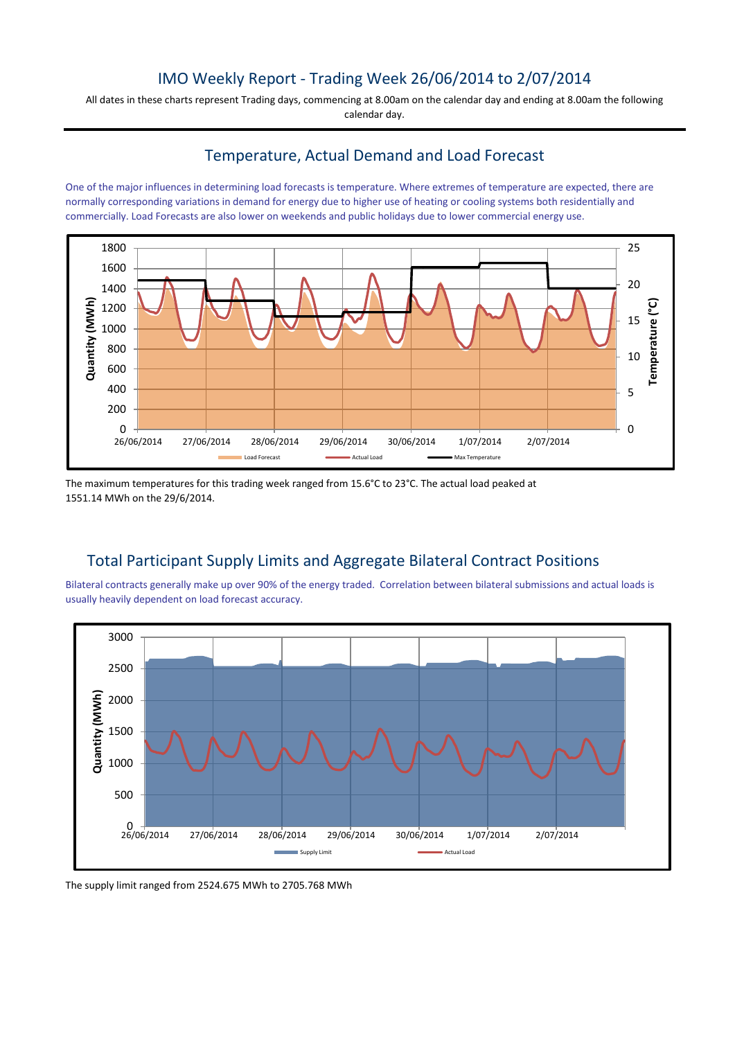# IMO Weekly Report - Trading Week 26/06/2014 to 2/07/2014

All dates in these charts represent Trading days, commencing at 8.00am on the calendar day and ending at 8.00am the following calendar day.

### Temperature, Actual Demand and Load Forecast

One of the major influences in determining load forecasts is temperature. Where extremes of temperature are expected, there are normally corresponding variations in demand for energy due to higher use of heating or cooling systems both residentially and commercially. Load Forecasts are also lower on weekends and public holidays due to lower commercial energy use.



The maximum temperatures for this trading week ranged from 15.6°C to 23°C. The actual load peaked at 1551.14 MWh on the 29/6/2014.

# Total Participant Supply Limits and Aggregate Bilateral Contract Positions

Bilateral contracts generally make up over 90% of the energy traded. Correlation between bilateral submissions and actual loads is usually heavily dependent on load forecast accuracy.



The supply limit ranged from 2524.675 MWh to 2705.768 MWh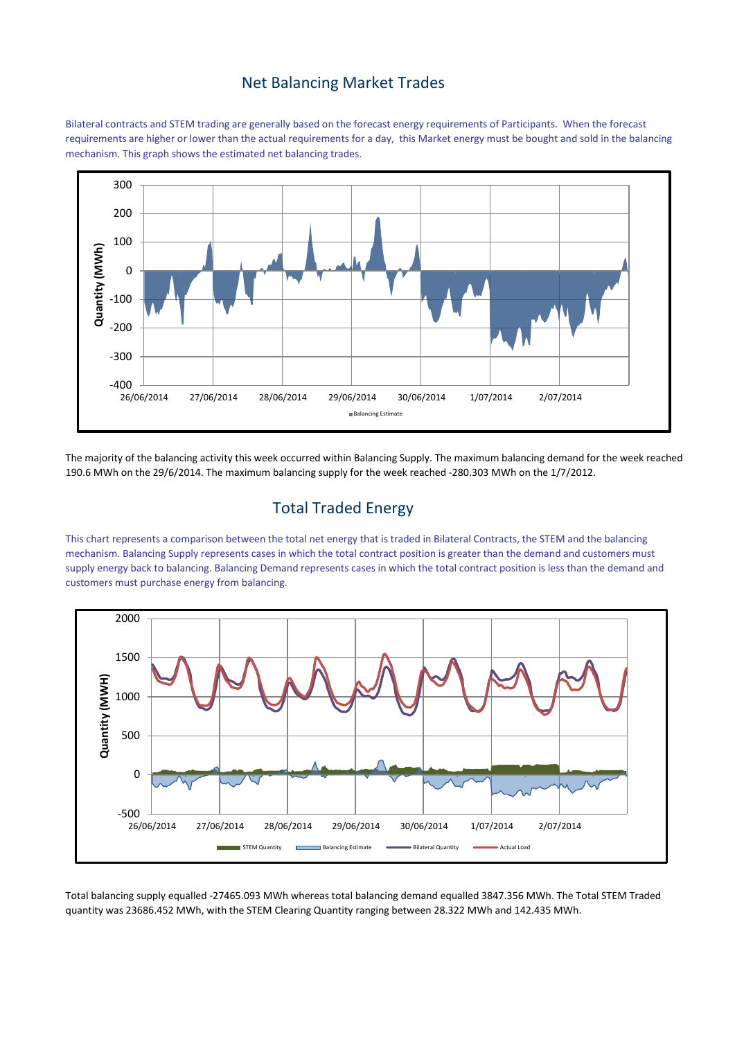#### Net Balancing Market Trades

Bilateral contracts and STEM trading are generally based on the forecast energy requirements of Participants. When the forecast requirements are higher or lower than the actual requirements for a day, this Market energy must be bought and sold in the balancing mechanism. This graph shows the estimated net balancing trades.



The majority of the balancing activity this week occurred within Balancing Supply. The maximum balancing demand for the week reached 190.6 MWh on the 29/6/2014. The maximum balancing supply for the week reached -280.303 MWh on the 1/7/2012.

# Total Traded Energy

This chart represents a comparison between the total net energy that is traded in Bilateral Contracts, the STEM and the balancing mechanism. Balancing Supply represents cases in which the total contract position is greater than the demand and customers must supply energy back to balancing. Balancing Demand represents cases in which the total contract position is less than the demand and customers must purchase energy from balancing.



Total balancing supply equalled -27465.093 MWh whereas total balancing demand equalled 3847.356 MWh. The Total STEM Traded quantity was 23686.452 MWh, with the STEM Clearing Quantity ranging between 28.322 MWh and 142.435 MWh.